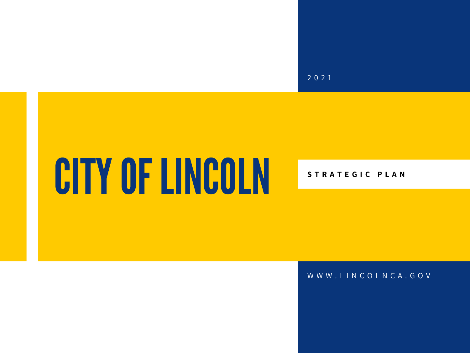2 0 2 1

## CITYOF LINCOLN

#### **S T R A T E G I C P L A N**

W W W . L I N C O L N C A . G O V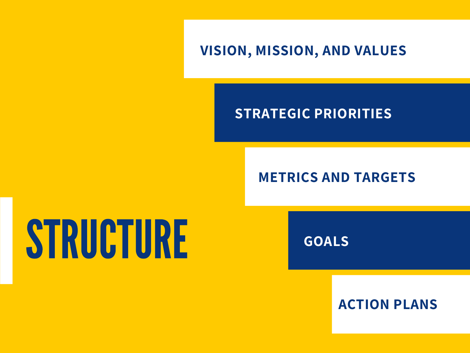**VISION, MISSION, AND VALUES**

### **STRATEGIC PRIORITIES**

## **METRICS AND TARGETS**

## STRUCTURE

**GOALS**

## **ACTION PLANS**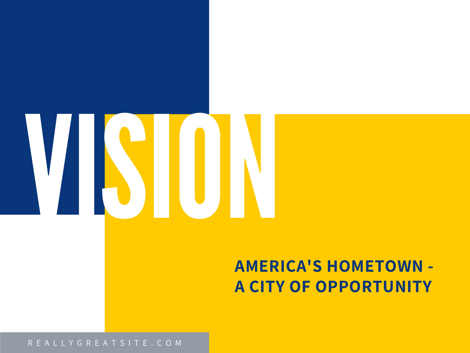

## **AMERICA'S HOMETOWN - A CITY OF OPPORTUNITY**

#### R E A L L Y G R E A T S I T E . C O M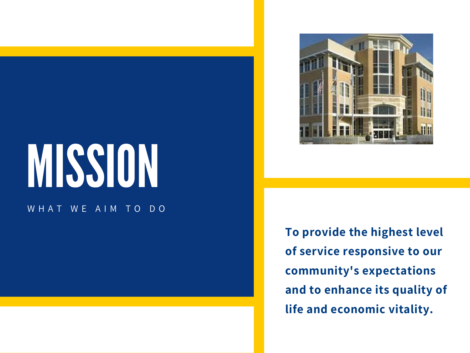# MISSION

WHAT WE AIM TO DO



**To provide the highest level of service responsive to our community's expectations and to enhance its quality of life and economic vitality.**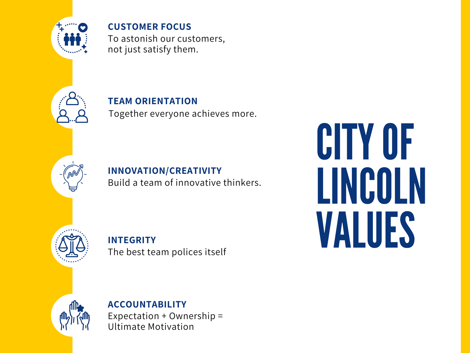

## **CUSTOMER FOCUS**

To astonish our customers, not just satisfy them.



**INNOVATION/CREATIVITY** Build a team of innovative thinkers.



**INTEGRITY** The best team polices itself

CITYOF LINCOLN VALUES



**ACCOUNTABILITY** Expectation + Ownership = Ultimate Motivation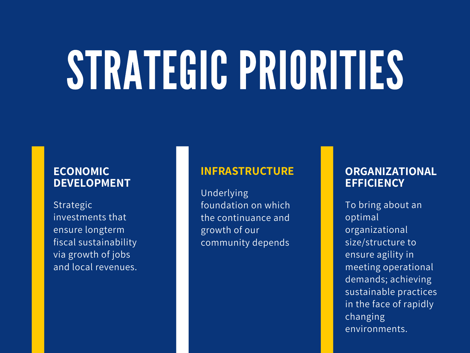## STRATEGIC PRIORITIES

### **ECONOMIC DEVELOPMENT**

Strategic investments that ensure longterm fiscal sustainability via growth of jobs and local revenues.

#### **INFRASTRUCTURE**

Underlying foundation on which the continuance and growth of our community depends

#### **ORGANIZATIONAL EFFICIENCY**

To bring about an optimal organizational size/structure to ensure agility in meeting operational demands; achieving sustainable practices in the face of rapidly changing environments.